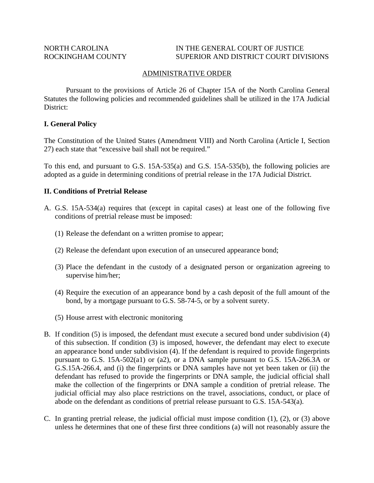### NORTH CAROLINA IN THE GENERAL COURT OF JUSTICE ROCKINGHAM COUNTY SUPERIOR AND DISTRICT COURT DIVISIONS

## ADMINISTRATIVE ORDER

 Pursuant to the provisions of Article 26 of Chapter 15A of the North Carolina General Statutes the following policies and recommended guidelines shall be utilized in the 17A Judicial District:

### **I. General Policy**

The Constitution of the United States (Amendment VIII) and North Carolina (Article I, Section 27) each state that "excessive bail shall not be required."

To this end, and pursuant to G.S. 15A-535(a) and G.S. 15A-535(b), the following policies are adopted as a guide in determining conditions of pretrial release in the 17A Judicial District.

### **II. Conditions of Pretrial Release**

- A. G.S. 15A-534(a) requires that (except in capital cases) at least one of the following five conditions of pretrial release must be imposed:
	- (1) Release the defendant on a written promise to appear;
	- (2) Release the defendant upon execution of an unsecured appearance bond;
	- (3) Place the defendant in the custody of a designated person or organization agreeing to supervise him/her;
	- (4) Require the execution of an appearance bond by a cash deposit of the full amount of the bond, by a mortgage pursuant to G.S. 58-74-5, or by a solvent surety.
	- (5) House arrest with electronic monitoring
- B. If condition (5) is imposed, the defendant must execute a secured bond under subdivision (4) of this subsection. If condition (3) is imposed, however, the defendant may elect to execute an appearance bond under subdivision (4). If the defendant is required to provide fingerprints pursuant to G.S. 15A-502(a1) or (a2), or a DNA sample pursuant to G.S. 15A-266.3A or G.S.15A-266.4, and (i) the fingerprints or DNA samples have not yet been taken or (ii) the defendant has refused to provide the fingerprints or DNA sample, the judicial official shall make the collection of the fingerprints or DNA sample a condition of pretrial release. The judicial official may also place restrictions on the travel, associations, conduct, or place of abode on the defendant as conditions of pretrial release pursuant to G.S. 15A-543(a).
- C. In granting pretrial release, the judicial official must impose condition (1), (2), or (3) above unless he determines that one of these first three conditions (a) will not reasonably assure the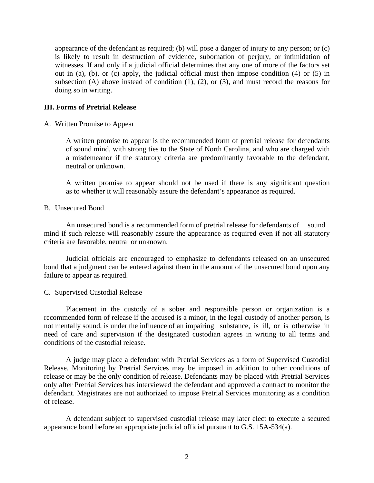appearance of the defendant as required; (b) will pose a danger of injury to any person; or (c) is likely to result in destruction of evidence, subornation of perjury, or intimidation of witnesses. If and only if a judicial official determines that any one of more of the factors set out in (a), (b), or (c) apply, the judicial official must then impose condition (4) or (5) in subsection  $(A)$  above instead of condition  $(1)$ ,  $(2)$ , or  $(3)$ , and must record the reasons for doing so in writing.

# **III. Forms of Pretrial Release**

A. Written Promise to Appear

A written promise to appear is the recommended form of pretrial release for defendants of sound mind, with strong ties to the State of North Carolina, and who are charged with a misdemeanor if the statutory criteria are predominantly favorable to the defendant, neutral or unknown.

 A written promise to appear should not be used if there is any significant question as to whether it will reasonably assure the defendant's appearance as required.

B. Unsecured Bond

 An unsecured bond is a recommended form of pretrial release for defendants of sound mind if such release will reasonably assure the appearance as required even if not all statutory criteria are favorable, neutral or unknown.

 Judicial officials are encouraged to emphasize to defendants released on an unsecured bond that a judgment can be entered against them in the amount of the unsecured bond upon any failure to appear as required.

C. Supervised Custodial Release

 Placement in the custody of a sober and responsible person or organization is a recommended form of release if the accused is a minor, in the legal custody of another person, is not mentally sound, is under the influence of an impairing substance, is ill, or is otherwise in need of care and supervision if the designated custodian agrees in writing to all terms and conditions of the custodial release.

 A judge may place a defendant with Pretrial Services as a form of Supervised Custodial Release. Monitoring by Pretrial Services may be imposed in addition to other conditions of release or may be the only condition of release. Defendants may be placed with Pretrial Services only after Pretrial Services has interviewed the defendant and approved a contract to monitor the defendant. Magistrates are not authorized to impose Pretrial Services monitoring as a condition of release.

 A defendant subject to supervised custodial release may later elect to execute a secured appearance bond before an appropriate judicial official pursuant to G.S. 15A-534(a).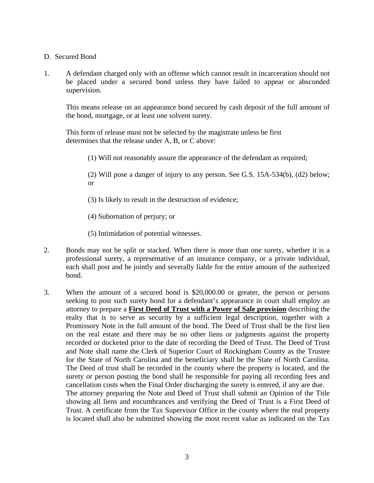# D. Secured Bond

1. A defendant charged only with an offense which cannot result in incarceration should not be placed under a secured bond unless they have failed to appear or absconded supervision.

This means release on an appearance bond secured by cash deposit of the full amount of the bond, mortgage, or at least one solvent surety.

 This form of release must not be selected by the magistrate unless he first determines that the release under A, B, or C above:

(1) Will not reasonably assure the appearance of the defendant as required;

(2) Will pose a danger of injury to any person. See G.S. 15A-534(b), (d2) below; or

(3) Is likely to result in the destruction of evidence;

(4) Subornation of perjury; or

(5) Intimidation of potential witnesses.

- 2. Bonds may not be split or stacked. When there is more than one surety, whether it is a professional surety, a representative of an insurance company, or a private individual, each shall post and be jointly and severally liable for the entire amount of the authorized bond.
- 3. When the amount of a secured bond is \$20,000.00 or greater, the person or persons seeking to post such surety bond for a defendant's appearance in court shall employ an attorney to prepare a **First Deed of Trust with a Power of Sale provision** describing the realty that is to serve as security by a sufficient legal description, together with a Promissory Note in the full amount of the bond. The Deed of Trust shall be the first lien on the real estate and there may be no other liens or judgments against the property recorded or docketed prior to the date of recording the Deed of Trust. The Deed of Trust and Note shall name the Clerk of Superior Court of Rockingham County as the Trustee for the State of North Carolina and the beneficiary shall be the State of North Carolina. The Deed of trust shall be recorded in the county where the property is located, and the surety or person posting the bond shall be responsible for paying all recording fees and cancellation costs when the Final Order discharging the surety is entered, if any are due. The attorney preparing the Note and Deed of Trust shall submit an Opinion of the Title showing all liens and encumbrances and verifying the Deed of Trust is a First Deed of Trust. A certificate from the Tax Supervisor Office in the county where the real property is located shall also be submitted showing the most recent value as indicated on the Tax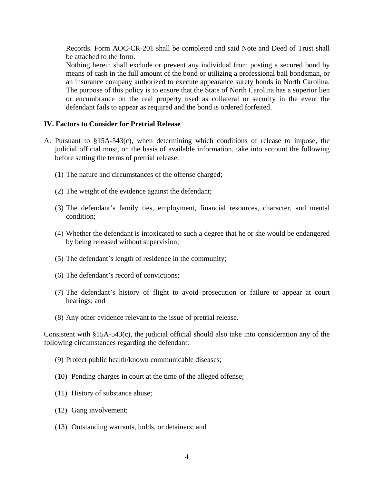Records. Form AOC-CR-201 shall be completed and said Note and Deed of Trust shall be attached to the form.

Nothing herein shall exclude or prevent any individual from posting a secured bond by means of cash in the full amount of the bond or utilizing a professional bail bondsman, or an insurance company authorized to execute appearance surety bonds in North Carolina. The purpose of this policy is to ensure that the State of North Carolina has a superior lien or encumbrance on the real property used as collateral or security in the event the defendant fails to appear as required and the bond is ordered forfeited.

# **IV. Factors to Consider for Pretrial Release**

- A. Pursuant to §15A-543(c), when determining which conditions of release to impose, the judicial official must, on the basis of available information, take into account the following before setting the terms of pretrial release:
	- (1) The nature and circumstances of the offense charged;
	- (2) The weight of the evidence against the defendant;
	- (3) The defendant's family ties, employment, financial resources, character, and mental condition;
	- (4) Whether the defendant is intoxicated to such a degree that he or she would be endangered by being released without supervision;
	- (5) The defendant's length of residence in the community;
	- (6) The defendant's record of convictions;
	- (7) The defendant's history of flight to avoid prosecution or failure to appear at court hearings; and
	- (8) Any other evidence relevant to the issue of pretrial release.

Consistent with §15A-543(c), the judicial official should also take into consideration any of the following circumstances regarding the defendant:

- (9) Protect public health/known communicable diseases;
- (10) Pending charges in court at the time of the alleged offense;
- (11) History of substance abuse;
- (12) Gang involvement;
- (13) Outstanding warrants, holds, or detainers; and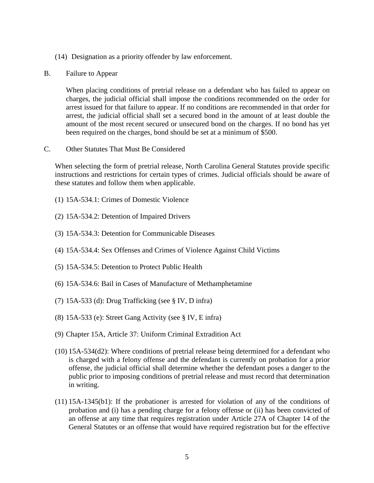- (14) Designation as a priority offender by law enforcement.
- B. Failure to Appear

When placing conditions of pretrial release on a defendant who has failed to appear on charges, the judicial official shall impose the conditions recommended on the order for arrest issued for that failure to appear. If no conditions are recommended in that order for arrest, the judicial official shall set a secured bond in the amount of at least double the amount of the most recent secured or unsecured bond on the charges. If no bond has yet been required on the charges, bond should be set at a minimum of \$500.

C. Other Statutes That Must Be Considered

When selecting the form of pretrial release, North Carolina General Statutes provide specific instructions and restrictions for certain types of crimes. Judicial officials should be aware of these statutes and follow them when applicable.

- (1) 15A-534.1: Crimes of Domestic Violence
- (2) 15A-534.2: Detention of Impaired Drivers
- (3) 15A-534.3: Detention for Communicable Diseases
- (4) 15A-534.4: Sex Offenses and Crimes of Violence Against Child Victims
- (5) 15A-534.5: Detention to Protect Public Health
- (6) 15A-534.6: Bail in Cases of Manufacture of Methamphetamine
- (7) 15A-533 (d): Drug Trafficking (see § IV, D infra)
- (8) 15A-533 (e): Street Gang Activity (see § IV, E infra)
- (9) Chapter 15A, Article 37: Uniform Criminal Extradition Act
- (10) 15A-534(d2): Where conditions of pretrial release being determined for a defendant who is charged with a felony offense and the defendant is currently on probation for a prior offense, the judicial official shall determine whether the defendant poses a danger to the public prior to imposing conditions of pretrial release and must record that determination in writing.
- (11) 15A-1345(b1): If the probationer is arrested for violation of any of the conditions of probation and (i) has a pending charge for a felony offense or (ii) has been convicted of an offense at any time that requires registration under Article 27A of Chapter 14 of the General Statutes or an offense that would have required registration but for the effective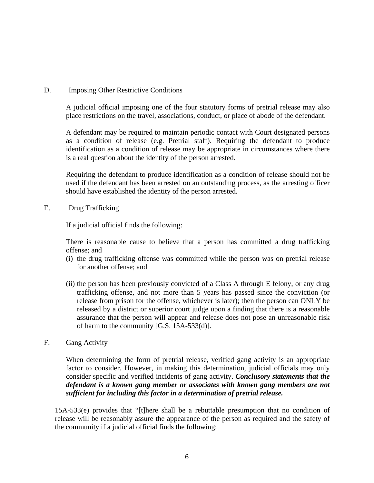# D. Imposing Other Restrictive Conditions

A judicial official imposing one of the four statutory forms of pretrial release may also place restrictions on the travel, associations, conduct, or place of abode of the defendant.

A defendant may be required to maintain periodic contact with Court designated persons as a condition of release (e.g. Pretrial staff). Requiring the defendant to produce identification as a condition of release may be appropriate in circumstances where there is a real question about the identity of the person arrested.

Requiring the defendant to produce identification as a condition of release should not be used if the defendant has been arrested on an outstanding process, as the arresting officer should have established the identity of the person arrested.

E. Drug Trafficking

If a judicial official finds the following:

There is reasonable cause to believe that a person has committed a drug trafficking offense; and

- (i) the drug trafficking offense was committed while the person was on pretrial release for another offense; and
- (ii) the person has been previously convicted of a Class A through E felony, or any drug trafficking offense, and not more than 5 years has passed since the conviction (or release from prison for the offense, whichever is later); then the person can ONLY be released by a district or superior court judge upon a finding that there is a reasonable assurance that the person will appear and release does not pose an unreasonable risk of harm to the community [G.S. 15A-533(d)].
- F. Gang Activity

When determining the form of pretrial release, verified gang activity is an appropriate factor to consider. However, in making this determination, judicial officials may only consider specific and verified incidents of gang activity. *Conclusory statements that the defendant is a known gang member or associates with known gang members are not sufficient for including this factor in a determination of pretrial release.* 

15A-533(e) provides that "[t]here shall be a rebuttable presumption that no condition of release will be reasonably assure the appearance of the person as required and the safety of the community if a judicial official finds the following: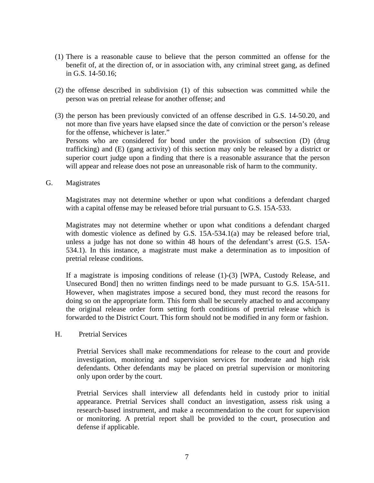- (1) There is a reasonable cause to believe that the person committed an offense for the benefit of, at the direction of, or in association with, any criminal street gang, as defined in G.S. 14-50.16;
- (2) the offense described in subdivision (1) of this subsection was committed while the person was on pretrial release for another offense; and
- (3) the person has been previously convicted of an offense described in G.S. 14-50.20, and not more than five years have elapsed since the date of conviction or the person's release for the offense, whichever is later." Persons who are considered for bond under the provision of subsection (D) (drug

trafficking) and (E) (gang activity) of this section may only be released by a district or superior court judge upon a finding that there is a reasonable assurance that the person will appear and release does not pose an unreasonable risk of harm to the community.

G. Magistrates

Magistrates may not determine whether or upon what conditions a defendant charged with a capital offense may be released before trial pursuant to G.S. 15A-533.

Magistrates may not determine whether or upon what conditions a defendant charged with domestic violence as defined by G.S. 15A-534.1(a) may be released before trial, unless a judge has not done so within 48 hours of the defendant's arrest (G.S. 15A-534.1). In this instance, a magistrate must make a determination as to imposition of pretrial release conditions.

If a magistrate is imposing conditions of release (1)-(3) [WPA, Custody Release, and Unsecured Bond] then no written findings need to be made pursuant to G.S. 15A-511. However, when magistrates impose a secured bond, they must record the reasons for doing so on the appropriate form. This form shall be securely attached to and accompany the original release order form setting forth conditions of pretrial release which is forwarded to the District Court. This form should not be modified in any form or fashion.

H. Pretrial Services

Pretrial Services shall make recommendations for release to the court and provide investigation, monitoring and supervision services for moderate and high risk defendants. Other defendants may be placed on pretrial supervision or monitoring only upon order by the court.

Pretrial Services shall interview all defendants held in custody prior to initial appearance. Pretrial Services shall conduct an investigation, assess risk using a research-based instrument, and make a recommendation to the court for supervision or monitoring. A pretrial report shall be provided to the court, prosecution and defense if applicable.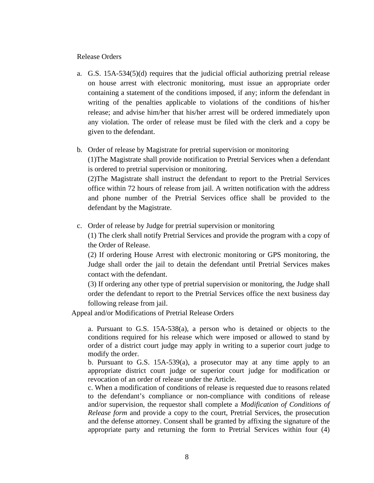Release Orders

a. G.S. 15A-534(5)(d) requires that the judicial official authorizing pretrial release on house arrest with electronic monitoring, must issue an appropriate order containing a statement of the conditions imposed, if any; inform the defendant in writing of the penalties applicable to violations of the conditions of his/her release; and advise him/her that his/her arrest will be ordered immediately upon any violation. The order of release must be filed with the clerk and a copy be given to the defendant.

# b. Order of release by Magistrate for pretrial supervision or monitoring

(1)The Magistrate shall provide notification to Pretrial Services when a defendant is ordered to pretrial supervision or monitoring.

(2)The Magistrate shall instruct the defendant to report to the Pretrial Services office within 72 hours of release from jail. A written notification with the address and phone number of the Pretrial Services office shall be provided to the defendant by the Magistrate.

c. Order of release by Judge for pretrial supervision or monitoring

(1) The clerk shall notify Pretrial Services and provide the program with a copy of the Order of Release.

(2) If ordering House Arrest with electronic monitoring or GPS monitoring, the Judge shall order the jail to detain the defendant until Pretrial Services makes contact with the defendant.

(3) If ordering any other type of pretrial supervision or monitoring, the Judge shall order the defendant to report to the Pretrial Services office the next business day following release from jail.

Appeal and/or Modifications of Pretrial Release Orders

a. Pursuant to G.S. 15A-538(a), a person who is detained or objects to the conditions required for his release which were imposed or allowed to stand by order of a district court judge may apply in writing to a superior court judge to modify the order.

b. Pursuant to G.S. 15A-539(a), a prosecutor may at any time apply to an appropriate district court judge or superior court judge for modification or revocation of an order of release under the Article.

c. When a modification of conditions of release is requested due to reasons related to the defendant's compliance or non-compliance with conditions of release and/or supervision, the requestor shall complete a *Modification of Conditions of Release form* and provide a copy to the court, Pretrial Services, the prosecution and the defense attorney. Consent shall be granted by affixing the signature of the appropriate party and returning the form to Pretrial Services within four (4)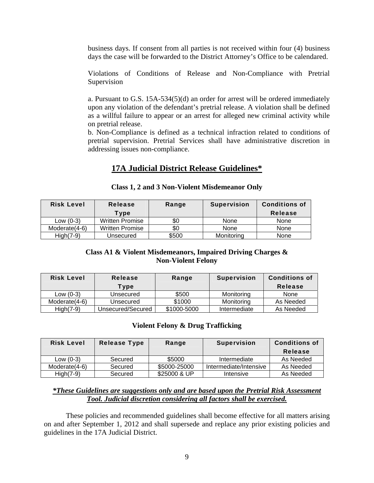business days. If consent from all parties is not received within four (4) business days the case will be forwarded to the District Attorney's Office to be calendared.

Violations of Conditions of Release and Non-Compliance with Pretrial Supervision

a. Pursuant to G.S. 15A-534(5)(d) an order for arrest will be ordered immediately upon any violation of the defendant's pretrial release. A violation shall be defined as a willful failure to appear or an arrest for alleged new criminal activity while on pretrial release.

b. Non-Compliance is defined as a technical infraction related to conditions of pretrial supervision. Pretrial Services shall have administrative discretion in addressing issues non-compliance.

# **17A Judicial District Release Guidelines\***

| <b>Risk Level</b> | <b>Release</b>         | Range | <b>Supervision</b> | <b>Conditions of</b> |
|-------------------|------------------------|-------|--------------------|----------------------|
|                   | Type                   |       |                    | <b>Release</b>       |
| Low $(0-3)$       | <b>Written Promise</b> | SC.   | None               | None                 |
| Moderate(4-6)     | <b>Written Promise</b> | \$0   | None               | None                 |
| $High(7-9)$       | Unsecured              | \$500 | Monitorina         | None                 |

### **Class 1, 2 and 3 Non-Violent Misdemeanor Only**

# **Class A1 & Violent Misdemeanors, Impaired Driving Charges & Non-Violent Felony**

| <b>Risk Level</b> | Release           | Range       | <b>Supervision</b> | <b>Conditions of</b> |
|-------------------|-------------------|-------------|--------------------|----------------------|
|                   | Type              |             |                    | Release              |
| Low $(0-3)$       | Unsecured         | \$500       | Monitoring         | None                 |
| Moderate(4-6)     | Unsecured         | \$1000      | Monitoring         | As Needed            |
| $High(7-9)$       | Unsecured/Secured | \$1000-5000 | Intermediate       | As Needed            |

# **Violent Felony & Drug Trafficking**

| <b>Risk Level</b> | <b>Release Type</b> | Range        | <b>Supervision</b>     | <b>Conditions of</b><br><b>Release</b> |
|-------------------|---------------------|--------------|------------------------|----------------------------------------|
| Low $(0-3)$       | Secured             | \$5000       | Intermediate           | As Needed                              |
| Moderate(4-6)     | Secured             | \$5000-25000 | Intermediate/Intensive | As Needed                              |
| $High(7-9)$       | Secured             | \$25000 & UP | Intensive              | As Needed                              |

# *\*These Guidelines are suggestions only and are based upon the Pretrial Risk Assessment Tool. Judicial discretion considering all factors shall be exercised.*

 These policies and recommended guidelines shall become effective for all matters arising on and after September 1, 2012 and shall supersede and replace any prior existing policies and guidelines in the 17A Judicial District.